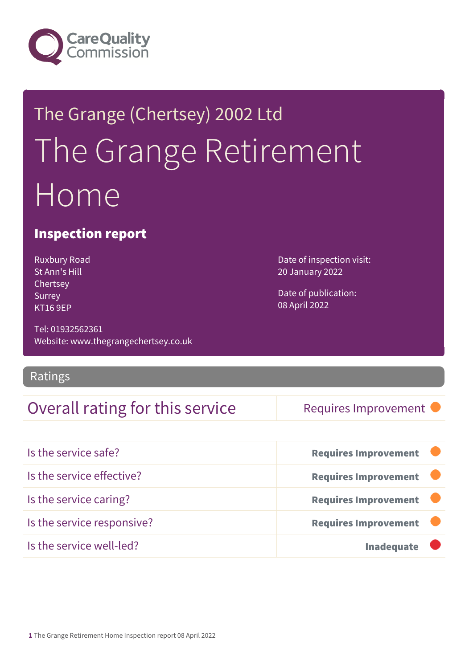

# The Grange (Chertsey) 2002 Ltd The Grange Retirement Home

### Inspection report

Ruxbury Road St Ann's Hill Chertsey Surrey KT16 9EP

Tel: 01932562361 Website: www.thegrangechertsey.co.uk

Ratings

### Overall rating for this service Requires Improvement

Date of inspection visit: 20 January 2022

Date of publication: 08 April 2022

| Is the service safe?       | <b>Requires Improvement</b> |
|----------------------------|-----------------------------|
| Is the service effective?  | <b>Requires Improvement</b> |
| Is the service caring?     | <b>Requires Improvement</b> |
| Is the service responsive? | <b>Requires Improvement</b> |
| Is the service well-led?   | <b>Inadequate</b>           |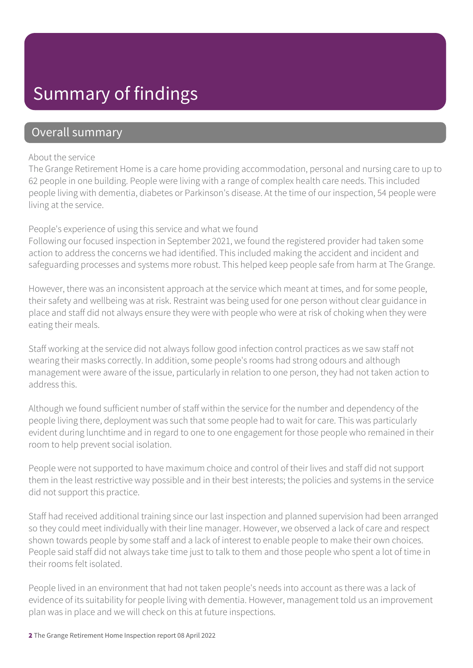## Summary of findings

### Overall summary

#### About the service

The Grange Retirement Home is a care home providing accommodation, personal and nursing care to up to 62 people in one building. People were living with a range of complex health care needs. This included people living with dementia, diabetes or Parkinson's disease. At the time of our inspection, 54 people were living at the service.

#### People's experience of using this service and what we found

Following our focused inspection in September 2021, we found the registered provider had taken some action to address the concerns we had identified. This included making the accident and incident and safeguarding processes and systems more robust. This helped keep people safe from harm at The Grange.

However, there was an inconsistent approach at the service which meant at times, and for some people, their safety and wellbeing was at risk. Restraint was being used for one person without clear guidance in place and staff did not always ensure they were with people who were at risk of choking when they were eating their meals.

Staff working at the service did not always follow good infection control practices as we saw staff not wearing their masks correctly. In addition, some people's rooms had strong odours and although management were aware of the issue, particularly in relation to one person, they had not taken action to address this.

Although we found sufficient number of staff within the service for the number and dependency of the people living there, deployment was such that some people had to wait for care. This was particularly evident during lunchtime and in regard to one to one engagement for those people who remained in their room to help prevent social isolation.

People were not supported to have maximum choice and control of their lives and staff did not support them in the least restrictive way possible and in their best interests; the policies and systems in the service did not support this practice.

Staff had received additional training since our last inspection and planned supervision had been arranged so they could meet individually with their line manager. However, we observed a lack of care and respect shown towards people by some staff and a lack of interest to enable people to make their own choices. People said staff did not always take time just to talk to them and those people who spent a lot of time in their rooms felt isolated.

People lived in an environment that had not taken people's needs into account as there was a lack of evidence of its suitability for people living with dementia. However, management told us an improvement plan was in place and we will check on this at future inspections.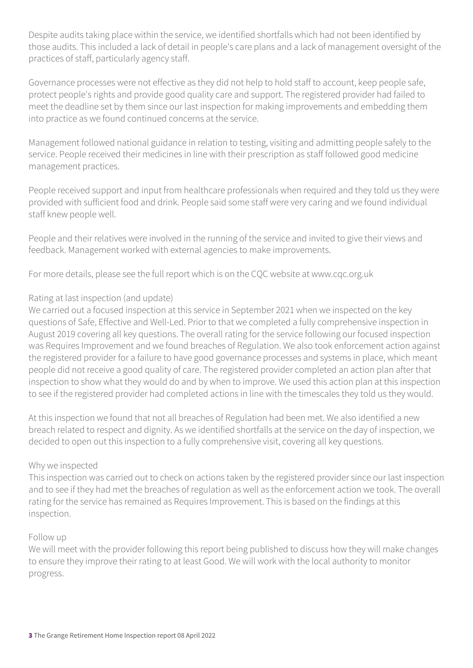Despite audits taking place within the service, we identified shortfalls which had not been identified by those audits. This included a lack of detail in people's care plans and a lack of management oversight of the practices of staff, particularly agency staff.

Governance processes were not effective as they did not help to hold staff to account, keep people safe, protect people's rights and provide good quality care and support. The registered provider had failed to meet the deadline set by them since our last inspection for making improvements and embedding them into practice as we found continued concerns at the service.

Management followed national guidance in relation to testing, visiting and admitting people safely to the service. People received their medicines in line with their prescription as staff followed good medicine management practices.

People received support and input from healthcare professionals when required and they told us they were provided with sufficient food and drink. People said some staff were very caring and we found individual staff knew people well.

People and their relatives were involved in the running of the service and invited to give their views and feedback. Management worked with external agencies to make improvements.

For more details, please see the full report which is on the CQC website at www.cqc.org.uk

#### Rating at last inspection (and update)

We carried out a focused inspection at this service in September 2021 when we inspected on the key questions of Safe, Effective and Well-Led. Prior to that we completed a fully comprehensive inspection in August 2019 covering all key questions. The overall rating for the service following our focused inspection was Requires Improvement and we found breaches of Regulation. We also took enforcement action against the registered provider for a failure to have good governance processes and systems in place, which meant people did not receive a good quality of care. The registered provider completed an action plan after that inspection to show what they would do and by when to improve. We used this action plan at this inspection to see if the registered provider had completed actions in line with the timescales they told us they would.

At this inspection we found that not all breaches of Regulation had been met. We also identified a new breach related to respect and dignity. As we identified shortfalls at the service on the day of inspection, we decided to open out this inspection to a fully comprehensive visit, covering all key questions.

#### Why we inspected

This inspection was carried out to check on actions taken by the registered provider since our last inspection and to see if they had met the breaches of regulation as well as the enforcement action we took. The overall rating for the service has remained as Requires Improvement. This is based on the findings at this inspection.

#### Follow up

We will meet with the provider following this report being published to discuss how they will make changes to ensure they improve their rating to at least Good. We will work with the local authority to monitor progress.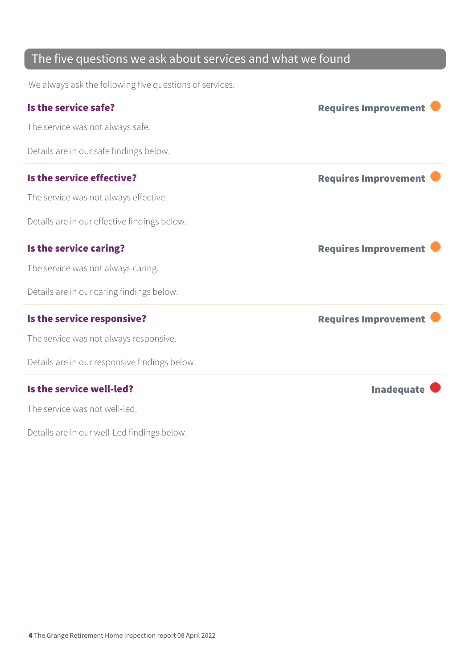### The five questions we ask about services and what we found

We always ask the following five questions of services.

| Is the service safe?                          | <b>Requires Improvement</b> |
|-----------------------------------------------|-----------------------------|
| The service was not always safe.              |                             |
| Details are in our safe findings below.       |                             |
| Is the service effective?                     | <b>Requires Improvement</b> |
| The service was not always effective.         |                             |
| Details are in our effective findings below.  |                             |
| Is the service caring?                        | <b>Requires Improvement</b> |
| The service was not always caring.            |                             |
| Details are in our caring findings below.     |                             |
| Is the service responsive?                    | <b>Requires Improvement</b> |
| The service was not always responsive.        |                             |
| Details are in our responsive findings below. |                             |
| Is the service well-led?                      | <b>Inadequate</b>           |
| The service was not well-led.                 |                             |
| Details are in our well-Led findings below.   |                             |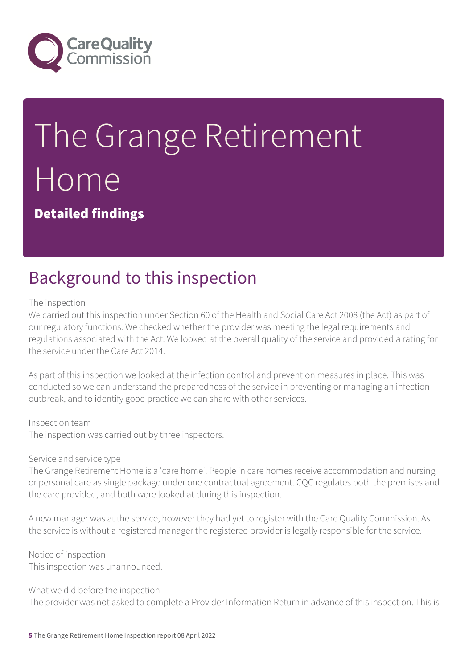

# The Grange Retirement Home

Detailed findings

## Background to this inspection

#### The inspection

We carried out this inspection under Section 60 of the Health and Social Care Act 2008 (the Act) as part of our regulatory functions. We checked whether the provider was meeting the legal requirements and regulations associated with the Act. We looked at the overall quality of the service and provided a rating for the service under the Care Act 2014.

As part of this inspection we looked at the infection control and prevention measures in place. This was conducted so we can understand the preparedness of the service in preventing or managing an infection outbreak, and to identify good practice we can share with other services.

#### Inspection team

The inspection was carried out by three inspectors.

#### Service and service type

The Grange Retirement Home is a 'care home'. People in care homes receive accommodation and nursing or personal care as single package under one contractual agreement. CQC regulates both the premises and the care provided, and both were looked at during this inspection.

A new manager was at the service, however they had yet to register with the Care Quality Commission. As the service is without a registered manager the registered provider is legally responsible for the service.

Notice of inspection This inspection was unannounced.

What we did before the inspection

The provider was not asked to complete a Provider Information Return in advance of this inspection. This is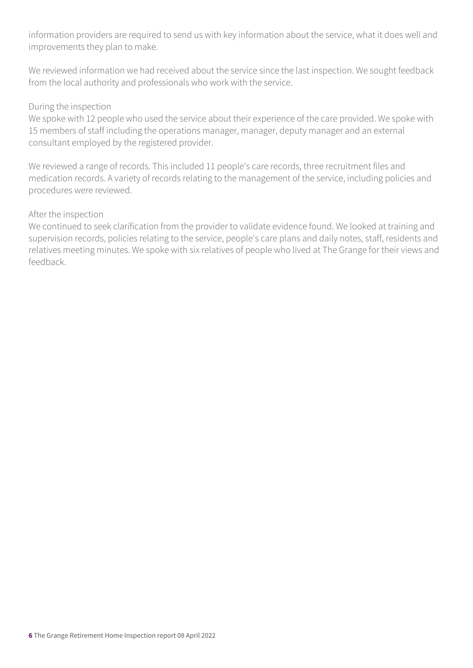information providers are required to send us with key information about the service, what it does well and improvements they plan to make.

We reviewed information we had received about the service since the last inspection. We sought feedback from the local authority and professionals who work with the service.

#### During the inspection

We spoke with 12 people who used the service about their experience of the care provided. We spoke with 15 members of staff including the operations manager, manager, deputy manager and an external consultant employed by the registered provider.

We reviewed a range of records. This included 11 people's care records, three recruitment files and medication records. A variety of records relating to the management of the service, including policies and procedures were reviewed.

#### After the inspection

We continued to seek clarification from the provider to validate evidence found. We looked at training and supervision records, policies relating to the service, people's care plans and daily notes, staff, residents and relatives meeting minutes. We spoke with six relatives of people who lived at The Grange for their views and feedback.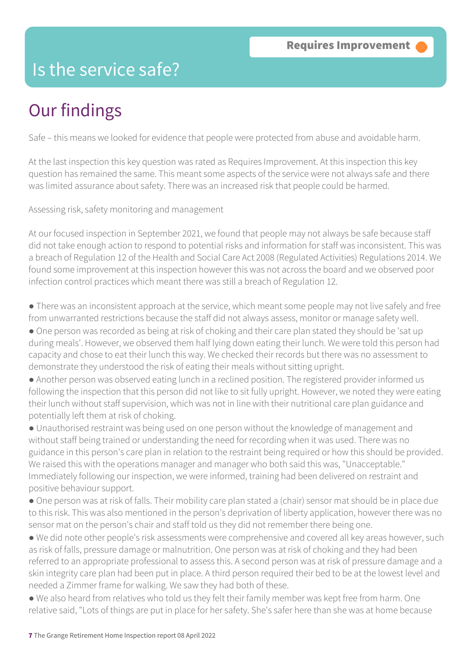### Is the service safe?

# Our findings

Safe – this means we looked for evidence that people were protected from abuse and avoidable harm.

At the last inspection this key question was rated as Requires Improvement. At this inspection this key question has remained the same. This meant some aspects of the service were not always safe and there was limited assurance about safety. There was an increased risk that people could be harmed.

Assessing risk, safety monitoring and management

At our focused inspection in September 2021, we found that people may not always be safe because staff did not take enough action to respond to potential risks and information for staff was inconsistent. This was a breach of Regulation 12 of the Health and Social Care Act 2008 (Regulated Activities) Regulations 2014. We found some improvement at this inspection however this was not across the board and we observed poor infection control practices which meant there was still a breach of Regulation 12.

● There was an inconsistent approach at the service, which meant some people may not live safely and free from unwarranted restrictions because the staff did not always assess, monitor or manage safety well.

- One person was recorded as being at risk of choking and their care plan stated they should be 'sat up during meals'. However, we observed them half lying down eating their lunch. We were told this person had capacity and chose to eat their lunch this way. We checked their records but there was no assessment to demonstrate they understood the risk of eating their meals without sitting upright.
- Another person was observed eating lunch in a reclined position. The registered provider informed us following the inspection that this person did not like to sit fully upright. However, we noted they were eating their lunch without staff supervision, which was not in line with their nutritional care plan guidance and potentially left them at risk of choking.

● Unauthorised restraint was being used on one person without the knowledge of management and without staff being trained or understanding the need for recording when it was used. There was no guidance in this person's care plan in relation to the restraint being required or how this should be provided. We raised this with the operations manager and manager who both said this was, "Unacceptable." Immediately following our inspection, we were informed, training had been delivered on restraint and positive behaviour support.

● One person was at risk of falls. Their mobility care plan stated a (chair) sensor mat should be in place due to this risk. This was also mentioned in the person's deprivation of liberty application, however there was no sensor mat on the person's chair and staff told us they did not remember there being one.

● We did note other people's risk assessments were comprehensive and covered all key areas however, such as risk of falls, pressure damage or malnutrition. One person was at risk of choking and they had been referred to an appropriate professional to assess this. A second person was at risk of pressure damage and a skin integrity care plan had been put in place. A third person required their bed to be at the lowest level and needed a Zimmer frame for walking. We saw they had both of these.

● We also heard from relatives who told us they felt their family member was kept free from harm. One relative said, "Lots of things are put in place for her safety. She's safer here than she was at home because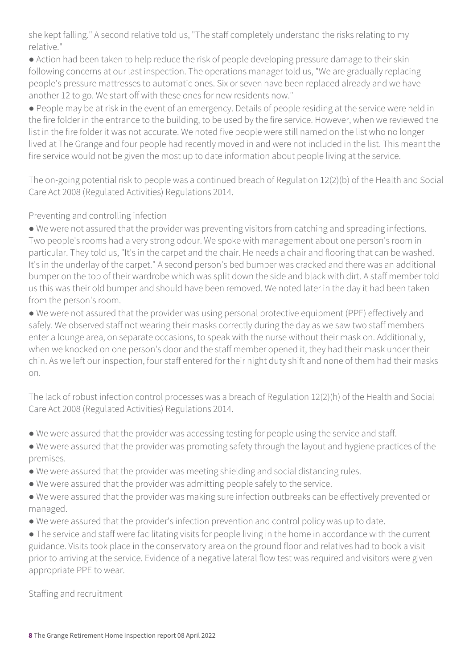she kept falling." A second relative told us, "The staff completely understand the risks relating to my relative."

● Action had been taken to help reduce the risk of people developing pressure damage to their skin following concerns at our last inspection. The operations manager told us, "We are gradually replacing people's pressure mattresses to automatic ones. Six or seven have been replaced already and we have another 12 to go. We start off with these ones for new residents now."

● People may be at risk in the event of an emergency. Details of people residing at the service were held in the fire folder in the entrance to the building, to be used by the fire service. However, when we reviewed the list in the fire folder it was not accurate. We noted five people were still named on the list who no longer lived at The Grange and four people had recently moved in and were not included in the list. This meant the fire service would not be given the most up to date information about people living at the service.

The on-going potential risk to people was a continued breach of Regulation 12(2)(b) of the Health and Social Care Act 2008 (Regulated Activities) Regulations 2014.

#### Preventing and controlling infection

● We were not assured that the provider was preventing visitors from catching and spreading infections. Two people's rooms had a very strong odour. We spoke with management about one person's room in particular. They told us, "It's in the carpet and the chair. He needs a chair and flooring that can be washed. It's in the underlay of the carpet." A second person's bed bumper was cracked and there was an additional bumper on the top of their wardrobe which was split down the side and black with dirt. A staff member told us this was their old bumper and should have been removed. We noted later in the day it had been taken from the person's room.

● We were not assured that the provider was using personal protective equipment (PPE) effectively and safely. We observed staff not wearing their masks correctly during the day as we saw two staff members enter a lounge area, on separate occasions, to speak with the nurse without their mask on. Additionally, when we knocked on one person's door and the staff member opened it, they had their mask under their chin. As we left our inspection, four staff entered for their night duty shift and none of them had their masks on.

The lack of robust infection control processes was a breach of Regulation 12(2)(h) of the Health and Social Care Act 2008 (Regulated Activities) Regulations 2014.

- We were assured that the provider was accessing testing for people using the service and staff.
- We were assured that the provider was promoting safety through the layout and hygiene practices of the premises.
- We were assured that the provider was meeting shielding and social distancing rules.
- We were assured that the provider was admitting people safely to the service.
- We were assured that the provider was making sure infection outbreaks can be effectively prevented or managed.
- We were assured that the provider's infection prevention and control policy was up to date.

● The service and staff were facilitating visits for people living in the home in accordance with the current guidance. Visits took place in the conservatory area on the ground floor and relatives had to book a visit prior to arriving at the service. Evidence of a negative lateral flow test was required and visitors were given appropriate PPE to wear.

Staffing and recruitment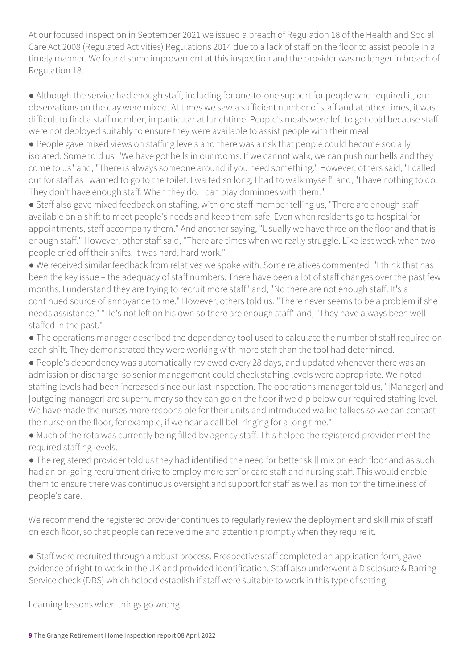At our focused inspection in September 2021 we issued a breach of Regulation 18 of the Health and Social Care Act 2008 (Regulated Activities) Regulations 2014 due to a lack of staff on the floor to assist people in a timely manner. We found some improvement at this inspection and the provider was no longer in breach of Regulation 18.

● Although the service had enough staff, including for one-to-one support for people who required it, our observations on the day were mixed. At times we saw a sufficient number of staff and at other times, it was difficult to find a staff member, in particular at lunchtime. People's meals were left to get cold because staff were not deployed suitably to ensure they were available to assist people with their meal.

● People gave mixed views on staffing levels and there was a risk that people could become socially isolated. Some told us, "We have got bells in our rooms. If we cannot walk, we can push our bells and they come to us" and, "There is always someone around if you need something." However, others said, "I called out for staff as I wanted to go to the toilet. I waited so long, I had to walk myself" and, "I have nothing to do. They don't have enough staff. When they do, I can play dominoes with them."

● Staff also gave mixed feedback on staffing, with one staff member telling us, "There are enough staff available on a shift to meet people's needs and keep them safe. Even when residents go to hospital for appointments, staff accompany them." And another saying, "Usually we have three on the floor and that is enough staff." However, other staff said, "There are times when we really struggle. Like last week when two people cried off their shifts. It was hard, hard work."

● We received similar feedback from relatives we spoke with. Some relatives commented. "I think that has been the key issue – the adequacy of staff numbers. There have been a lot of staff changes over the past few months. I understand they are trying to recruit more staff" and, "No there are not enough staff. It's a continued source of annoyance to me." However, others told us, "There never seems to be a problem if she needs assistance," "He's not left on his own so there are enough staff" and, "They have always been well staffed in the past."

● The operations manager described the dependency tool used to calculate the number of staff required on each shift. They demonstrated they were working with more staff than the tool had determined.

● People's dependency was automatically reviewed every 28 days, and updated whenever there was an admission or discharge, so senior management could check staffing levels were appropriate. We noted staffing levels had been increased since our last inspection. The operations manager told us, "[Manager] and [outgoing manager] are supernumery so they can go on the floor if we dip below our required staffing level. We have made the nurses more responsible for their units and introduced walkie talkies so we can contact the nurse on the floor, for example, if we hear a call bell ringing for a long time."

● Much of the rota was currently being filled by agency staff. This helped the registered provider meet the required staffing levels.

● The registered provider told us they had identified the need for better skill mix on each floor and as such had an on-going recruitment drive to employ more senior care staff and nursing staff. This would enable them to ensure there was continuous oversight and support for staff as well as monitor the timeliness of people's care.

We recommend the registered provider continues to regularly review the deployment and skill mix of staff on each floor, so that people can receive time and attention promptly when they require it.

• Staff were recruited through a robust process. Prospective staff completed an application form, gave evidence of right to work in the UK and provided identification. Staff also underwent a Disclosure & Barring Service check (DBS) which helped establish if staff were suitable to work in this type of setting.

Learning lessons when things go wrong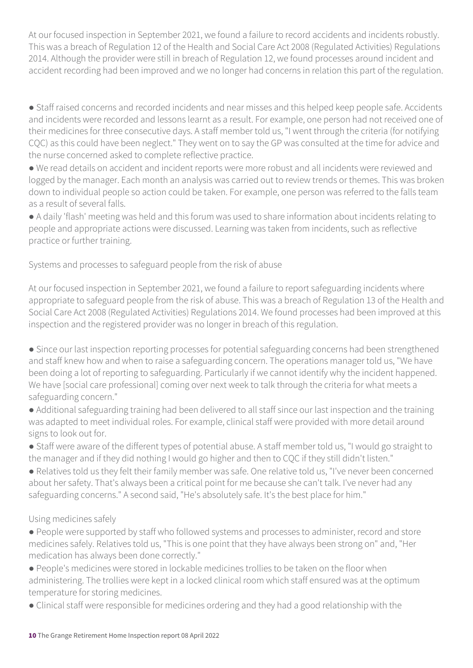At our focused inspection in September 2021, we found a failure to record accidents and incidents robustly. This was a breach of Regulation 12 of the Health and Social Care Act 2008 (Regulated Activities) Regulations 2014. Although the provider were still in breach of Regulation 12, we found processes around incident and accident recording had been improved and we no longer had concerns in relation this part of the regulation.

● Staff raised concerns and recorded incidents and near misses and this helped keep people safe. Accidents and incidents were recorded and lessons learnt as a result. For example, one person had not received one of their medicines for three consecutive days. A staff member told us, "I went through the criteria (for notifying CQC) as this could have been neglect." They went on to say the GP was consulted at the time for advice and the nurse concerned asked to complete reflective practice.

● We read details on accident and incident reports were more robust and all incidents were reviewed and logged by the manager. Each month an analysis was carried out to review trends or themes. This was broken down to individual people so action could be taken. For example, one person was referred to the falls team as a result of several falls.

● A daily 'flash' meeting was held and this forum was used to share information about incidents relating to people and appropriate actions were discussed. Learning was taken from incidents, such as reflective practice or further training.

Systems and processes to safeguard people from the risk of abuse

At our focused inspection in September 2021, we found a failure to report safeguarding incidents where appropriate to safeguard people from the risk of abuse. This was a breach of Regulation 13 of the Health and Social Care Act 2008 (Regulated Activities) Regulations 2014. We found processes had been improved at this inspection and the registered provider was no longer in breach of this regulation.

• Since our last inspection reporting processes for potential safeguarding concerns had been strengthened and staff knew how and when to raise a safeguarding concern. The operations manager told us, "We have been doing a lot of reporting to safeguarding. Particularly if we cannot identify why the incident happened. We have [social care professional] coming over next week to talk through the criteria for what meets a safeguarding concern."

● Additional safeguarding training had been delivered to all staff since our last inspection and the training was adapted to meet individual roles. For example, clinical staff were provided with more detail around signs to look out for.

● Staff were aware of the different types of potential abuse. A staff member told us, "I would go straight to the manager and if they did nothing I would go higher and then to CQC if they still didn't listen."

● Relatives told us they felt their family member was safe. One relative told us, "I've never been concerned about her safety. That's always been a critical point for me because she can't talk. I've never had any safeguarding concerns." A second said, "He's absolutely safe. It's the best place for him."

#### Using medicines safely

● People were supported by staff who followed systems and processes to administer, record and store medicines safely. Relatives told us, "This is one point that they have always been strong on" and, "Her medication has always been done correctly."

● People's medicines were stored in lockable medicines trollies to be taken on the floor when administering. The trollies were kept in a locked clinical room which staff ensured was at the optimum temperature for storing medicines.

● Clinical staff were responsible for medicines ordering and they had a good relationship with the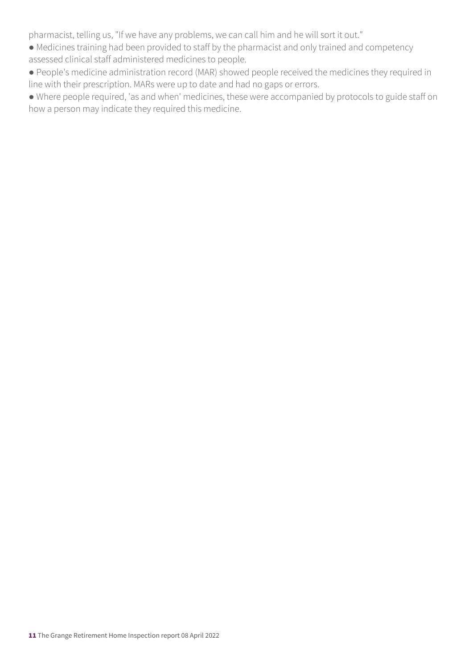pharmacist, telling us, "If we have any problems, we can call him and he will sort it out."

- Medicines training had been provided to staff by the pharmacist and only trained and competency assessed clinical staff administered medicines to people.
- People's medicine administration record (MAR) showed people received the medicines they required in line with their prescription. MARs were up to date and had no gaps or errors.
- Where people required, 'as and when' medicines, these were accompanied by protocols to guide staff on how a person may indicate they required this medicine.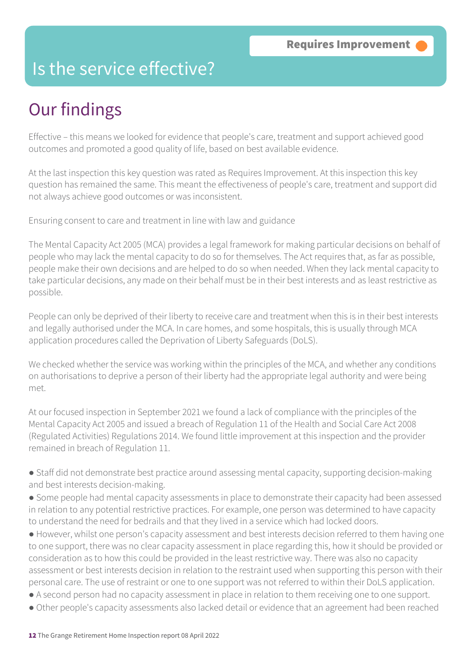### Is the service effective?

## Our findings

Effective – this means we looked for evidence that people's care, treatment and support achieved good outcomes and promoted a good quality of life, based on best available evidence.

At the last inspection this key question was rated as Requires Improvement. At this inspection this key question has remained the same. This meant the effectiveness of people's care, treatment and support did not always achieve good outcomes or was inconsistent.

Ensuring consent to care and treatment in line with law and guidance

The Mental Capacity Act 2005 (MCA) provides a legal framework for making particular decisions on behalf of people who may lack the mental capacity to do so for themselves. The Act requires that, as far as possible, people make their own decisions and are helped to do so when needed. When they lack mental capacity to take particular decisions, any made on their behalf must be in their best interests and as least restrictive as possible.

People can only be deprived of their liberty to receive care and treatment when this is in their best interests and legally authorised under the MCA. In care homes, and some hospitals, this is usually through MCA application procedures called the Deprivation of Liberty Safeguards (DoLS).

We checked whether the service was working within the principles of the MCA, and whether any conditions on authorisations to deprive a person of their liberty had the appropriate legal authority and were being met.

At our focused inspection in September 2021 we found a lack of compliance with the principles of the Mental Capacity Act 2005 and issued a breach of Regulation 11 of the Health and Social Care Act 2008 (Regulated Activities) Regulations 2014. We found little improvement at this inspection and the provider remained in breach of Regulation 11.

● Staff did not demonstrate best practice around assessing mental capacity, supporting decision-making and best interests decision-making.

● Some people had mental capacity assessments in place to demonstrate their capacity had been assessed in relation to any potential restrictive practices. For example, one person was determined to have capacity to understand the need for bedrails and that they lived in a service which had locked doors.

● However, whilst one person's capacity assessment and best interests decision referred to them having one to one support, there was no clear capacity assessment in place regarding this, how it should be provided or consideration as to how this could be provided in the least restrictive way. There was also no capacity assessment or best interests decision in relation to the restraint used when supporting this person with their personal care. The use of restraint or one to one support was not referred to within their DoLS application.

- A second person had no capacity assessment in place in relation to them receiving one to one support.
- Other people's capacity assessments also lacked detail or evidence that an agreement had been reached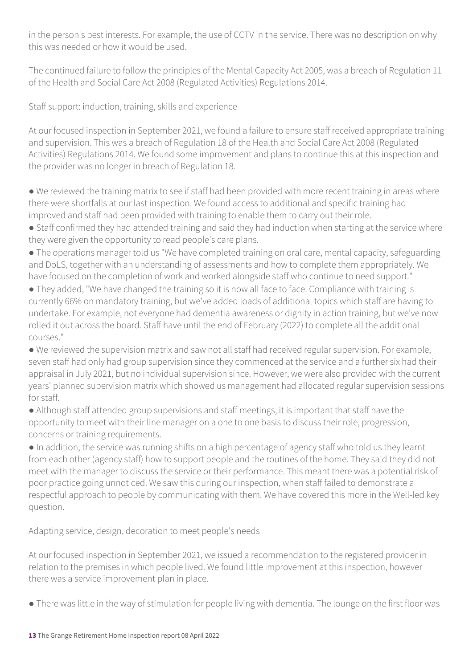in the person's best interests. For example, the use of CCTV in the service. There was no description on why this was needed or how it would be used.

The continued failure to follow the principles of the Mental Capacity Act 2005, was a breach of Regulation 11 of the Health and Social Care Act 2008 (Regulated Activities) Regulations 2014.

Staff support: induction, training, skills and experience

At our focused inspection in September 2021, we found a failure to ensure staff received appropriate training and supervision. This was a breach of Regulation 18 of the Health and Social Care Act 2008 (Regulated Activities) Regulations 2014. We found some improvement and plans to continue this at this inspection and the provider was no longer in breach of Regulation 18.

● We reviewed the training matrix to see if staff had been provided with more recent training in areas where there were shortfalls at our last inspection. We found access to additional and specific training had improved and staff had been provided with training to enable them to carry out their role.

● Staff confirmed they had attended training and said they had induction when starting at the service where they were given the opportunity to read people's care plans.

• The operations manager told us "We have completed training on oral care, mental capacity, safeguarding and DoLS, together with an understanding of assessments and how to complete them appropriately. We have focused on the completion of work and worked alongside staff who continue to need support."

● They added, "We have changed the training so it is now all face to face. Compliance with training is currently 66% on mandatory training, but we've added loads of additional topics which staff are having to undertake. For example, not everyone had dementia awareness or dignity in action training, but we've now rolled it out across the board. Staff have until the end of February (2022) to complete all the additional courses."

● We reviewed the supervision matrix and saw not all staff had received regular supervision. For example, seven staff had only had group supervision since they commenced at the service and a further six had their appraisal in July 2021, but no individual supervision since. However, we were also provided with the current years' planned supervision matrix which showed us management had allocated regular supervision sessions for staff.

● Although staff attended group supervisions and staff meetings, it is important that staff have the opportunity to meet with their line manager on a one to one basis to discuss their role, progression, concerns or training requirements.

● In addition, the service was running shifts on a high percentage of agency staff who told us they learnt from each other (agency staff) how to support people and the routines of the home. They said they did not meet with the manager to discuss the service or their performance. This meant there was a potential risk of poor practice going unnoticed. We saw this during our inspection, when staff failed to demonstrate a respectful approach to people by communicating with them. We have covered this more in the Well-led key question.

Adapting service, design, decoration to meet people's needs

At our focused inspection in September 2021, we issued a recommendation to the registered provider in relation to the premises in which people lived. We found little improvement at this inspection, however there was a service improvement plan in place.

● There was little in the way of stimulation for people living with dementia. The lounge on the first floor was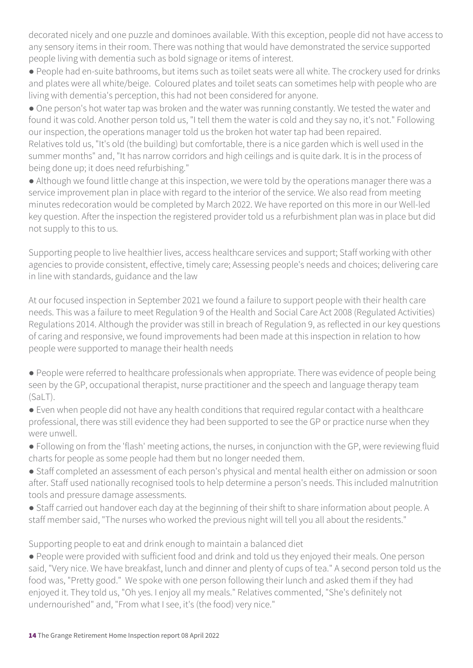decorated nicely and one puzzle and dominoes available. With this exception, people did not have access to any sensory items in their room. There was nothing that would have demonstrated the service supported people living with dementia such as bold signage or items of interest.

● People had en-suite bathrooms, but items such as toilet seats were all white. The crockery used for drinks and plates were all white/beige. Coloured plates and toilet seats can sometimes help with people who are living with dementia's perception, this had not been considered for anyone.

● One person's hot water tap was broken and the water was running constantly. We tested the water and found it was cold. Another person told us, "I tell them the water is cold and they say no, it's not." Following our inspection, the operations manager told us the broken hot water tap had been repaired.

Relatives told us, "It's old (the building) but comfortable, there is a nice garden which is well used in the summer months" and, "It has narrow corridors and high ceilings and is quite dark. It is in the process of being done up; it does need refurbishing."

● Although we found little change at this inspection, we were told by the operations manager there was a service improvement plan in place with regard to the interior of the service. We also read from meeting minutes redecoration would be completed by March 2022. We have reported on this more in our Well-led key question. After the inspection the registered provider told us a refurbishment plan was in place but did not supply to this to us.

Supporting people to live healthier lives, access healthcare services and support; Staff working with other agencies to provide consistent, effective, timely care; Assessing people's needs and choices; delivering care in line with standards, guidance and the law

At our focused inspection in September 2021 we found a failure to support people with their health care needs. This was a failure to meet Regulation 9 of the Health and Social Care Act 2008 (Regulated Activities) Regulations 2014. Although the provider was still in breach of Regulation 9, as reflected in our key questions of caring and responsive, we found improvements had been made at this inspection in relation to how people were supported to manage their health needs

● People were referred to healthcare professionals when appropriate. There was evidence of people being seen by the GP, occupational therapist, nurse practitioner and the speech and language therapy team (SaLT).

● Even when people did not have any health conditions that required regular contact with a healthcare professional, there was still evidence they had been supported to see the GP or practice nurse when they were unwell.

● Following on from the 'flash' meeting actions, the nurses, in conjunction with the GP, were reviewing fluid charts for people as some people had them but no longer needed them.

● Staff completed an assessment of each person's physical and mental health either on admission or soon after. Staff used nationally recognised tools to help determine a person's needs. This included malnutrition tools and pressure damage assessments.

● Staff carried out handover each day at the beginning of their shift to share information about people. A staff member said, "The nurses who worked the previous night will tell you all about the residents."

Supporting people to eat and drink enough to maintain a balanced diet

● People were provided with sufficient food and drink and told us they enjoyed their meals. One person said, "Very nice. We have breakfast, lunch and dinner and plenty of cups of tea." A second person told us the food was, "Pretty good." We spoke with one person following their lunch and asked them if they had enjoyed it. They told us, "Oh yes. I enjoy all my meals." Relatives commented, "She's definitely not undernourished" and, "From what I see, it's (the food) very nice."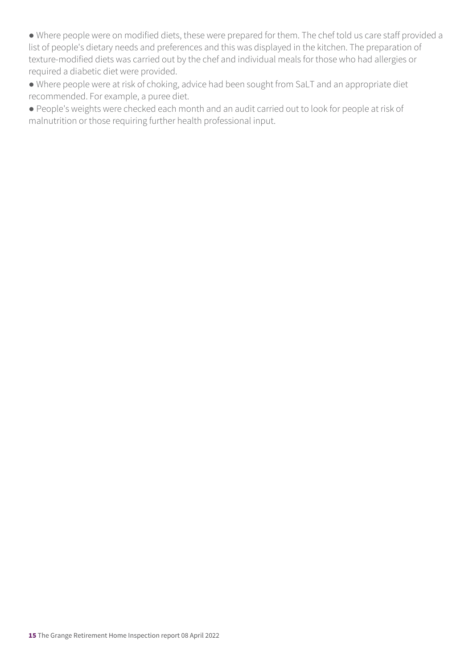● Where people were on modified diets, these were prepared for them. The chef told us care staff provided a list of people's dietary needs and preferences and this was displayed in the kitchen. The preparation of texture-modified diets was carried out by the chef and individual meals for those who had allergies or required a diabetic diet were provided.

● Where people were at risk of choking, advice had been sought from SaLT and an appropriate diet recommended. For example, a puree diet.

● People's weights were checked each month and an audit carried out to look for people at risk of malnutrition or those requiring further health professional input.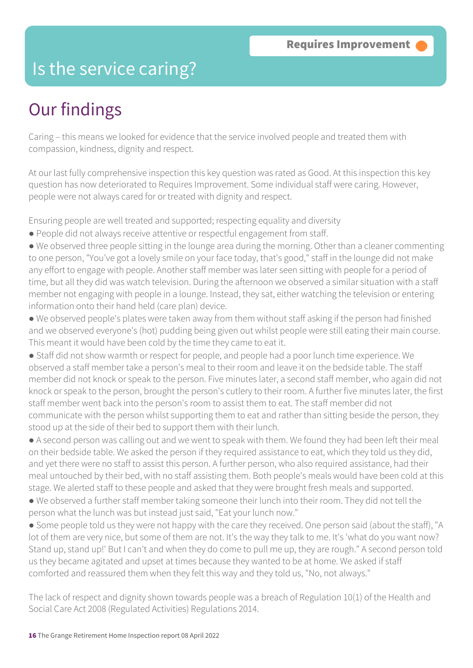### Is the service caring?

### Our findings

Caring – this means we looked for evidence that the service involved people and treated them with compassion, kindness, dignity and respect.

At our last fully comprehensive inspection this key question was rated as Good. At this inspection this key question has now deteriorated to Requires Improvement. Some individual staff were caring. However, people were not always cared for or treated with dignity and respect.

Ensuring people are well treated and supported; respecting equality and diversity

- People did not always receive attentive or respectful engagement from staff.
- We observed three people sitting in the lounge area during the morning. Other than a cleaner commenting to one person, "You've got a lovely smile on your face today, that's good," staff in the lounge did not make any effort to engage with people. Another staff member was later seen sitting with people for a period of time, but all they did was watch television. During the afternoon we observed a similar situation with a staff member not engaging with people in a lounge. Instead, they sat, either watching the television or entering information onto their hand held (care plan) device.
- We observed people's plates were taken away from them without staff asking if the person had finished and we observed everyone's (hot) pudding being given out whilst people were still eating their main course. This meant it would have been cold by the time they came to eat it.
- Staff did not show warmth or respect for people, and people had a poor lunch time experience. We observed a staff member take a person's meal to their room and leave it on the bedside table. The staff member did not knock or speak to the person. Five minutes later, a second staff member, who again did not knock or speak to the person, brought the person's cutlery to their room. A further five minutes later, the first staff member went back into the person's room to assist them to eat. The staff member did not communicate with the person whilst supporting them to eat and rather than sitting beside the person, they stood up at the side of their bed to support them with their lunch.
- A second person was calling out and we went to speak with them. We found they had been left their meal on their bedside table. We asked the person if they required assistance to eat, which they told us they did, and yet there were no staff to assist this person. A further person, who also required assistance, had their meal untouched by their bed, with no staff assisting them. Both people's meals would have been cold at this stage. We alerted staff to these people and asked that they were brought fresh meals and supported.
- We observed a further staff member taking someone their lunch into their room. They did not tell the person what the lunch was but instead just said, "Eat your lunch now."
- Some people told us they were not happy with the care they received. One person said (about the staff), "A lot of them are very nice, but some of them are not. It's the way they talk to me. It's 'what do you want now? Stand up, stand up!' But I can't and when they do come to pull me up, they are rough." A second person told us they became agitated and upset at times because they wanted to be at home. We asked if staff comforted and reassured them when they felt this way and they told us, "No, not always."
- The lack of respect and dignity shown towards people was a breach of Regulation 10(1) of the Health and Social Care Act 2008 (Regulated Activities) Regulations 2014.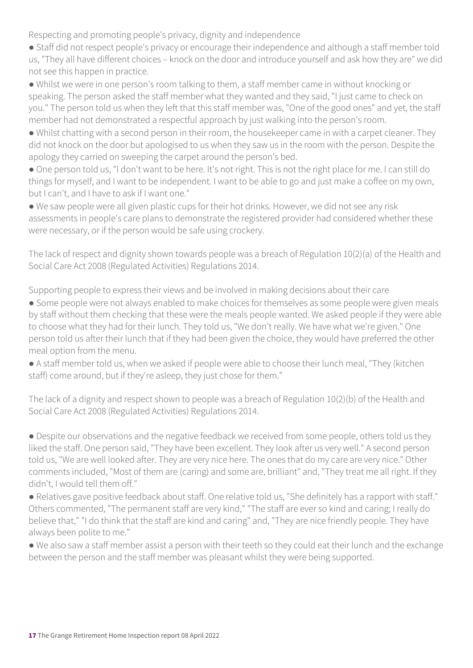Respecting and promoting people's privacy, dignity and independence

● Staff did not respect people's privacy or encourage their independence and although a staff member told us, "They all have different choices – knock on the door and introduce yourself and ask how they are" we did not see this happen in practice.

● Whilst we were in one person's room talking to them, a staff member came in without knocking or speaking. The person asked the staff member what they wanted and they said, "I just came to check on you." The person told us when they left that this staff member was, "One of the good ones" and yet, the staff member had not demonstrated a respectful approach by just walking into the person's room.

● Whilst chatting with a second person in their room, the housekeeper came in with a carpet cleaner. They did not knock on the door but apologised to us when they saw us in the room with the person. Despite the apology they carried on sweeping the carpet around the person's bed.

● One person told us, "I don't want to be here. It's not right. This is not the right place for me. I can still do things for myself, and I want to be independent. I want to be able to go and just make a coffee on my own, but I can't, and I have to ask if I want one."

● We saw people were all given plastic cups for their hot drinks. However, we did not see any risk assessments in people's care plans to demonstrate the registered provider had considered whether these were necessary, or if the person would be safe using crockery.

The lack of respect and dignity shown towards people was a breach of Regulation 10(2)(a) of the Health and Social Care Act 2008 (Regulated Activities) Regulations 2014.

Supporting people to express their views and be involved in making decisions about their care

● Some people were not always enabled to make choices for themselves as some people were given meals by staff without them checking that these were the meals people wanted. We asked people if they were able to choose what they had for their lunch. They told us, "We don't really. We have what we're given." One person told us after their lunch that if they had been given the choice, they would have preferred the other meal option from the menu.

● A staff member told us, when we asked if people were able to choose their lunch meal, "They (kitchen staff) come around, but if they're asleep, they just chose for them."

The lack of a dignity and respect shown to people was a breach of Regulation 10(2)(b) of the Health and Social Care Act 2008 (Regulated Activities) Regulations 2014.

• Despite our observations and the negative feedback we received from some people, others told us they liked the staff. One person said, "They have been excellent. They look after us very well." A second person told us, "We are well looked after. They are very nice here. The ones that do my care are very nice." Other comments included, "Most of them are (caring) and some are, brilliant" and, "They treat me all right. If they didn't, I would tell them off."

● Relatives gave positive feedback about staff. One relative told us, "She definitely has a rapport with staff." Others commented, "The permanent staff are very kind," "The staff are ever so kind and caring; I really do believe that," "I do think that the staff are kind and caring" and, "They are nice friendly people. They have always been polite to me."

● We also saw a staff member assist a person with their teeth so they could eat their lunch and the exchange between the person and the staff member was pleasant whilst they were being supported.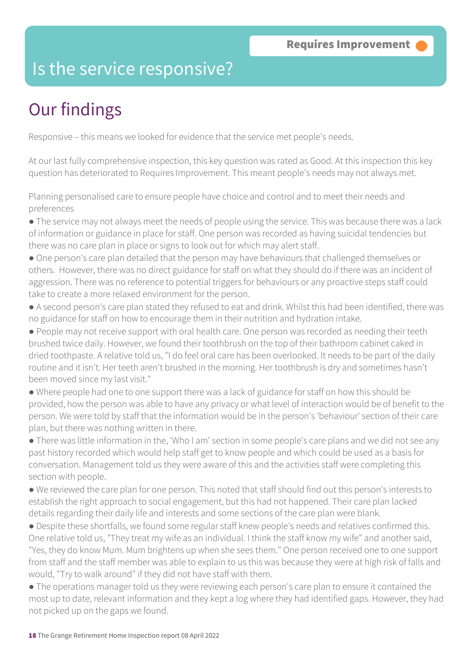### Is the service responsive?

# Our findings

Responsive – this means we looked for evidence that the service met people's needs.

At our last fully comprehensive inspection, this key question was rated as Good. At this inspection this key question has deteriorated to Requires Improvement. This meant people's needs may not always met.

Planning personalised care to ensure people have choice and control and to meet their needs and preferences

● The service may not always meet the needs of people using the service. This was because there was a lack of information or guidance in place for staff. One person was recorded as having suicidal tendencies but there was no care plan in place or signs to look out for which may alert staff.

● One person's care plan detailed that the person may have behaviours that challenged themselves or others. However, there was no direct guidance for staff on what they should do if there was an incident of aggression. There was no reference to potential triggers for behaviours or any proactive steps staff could take to create a more relaxed environment for the person.

● A second person's care plan stated they refused to eat and drink. Whilst this had been identified, there was no guidance for staff on how to encourage them in their nutrition and hydration intake.

● People may not receive support with oral health care. One person was recorded as needing their teeth brushed twice daily. However, we found their toothbrush on the top of their bathroom cabinet caked in dried toothpaste. A relative told us, "I do feel oral care has been overlooked. It needs to be part of the daily routine and it isn't. Her teeth aren't brushed in the morning. Her toothbrush is dry and sometimes hasn't been moved since my last visit."

● Where people had one to one support there was a lack of guidance for staff on how this should be provided, how the person was able to have any privacy or what level of interaction would be of benefit to the person. We were told by staff that the information would be in the person's 'behaviour' section of their care plan, but there was nothing written in there.

● There was little information in the, 'Who I am' section in some people's care plans and we did not see any past history recorded which would help staff get to know people and which could be used as a basis for conversation. Management told us they were aware of this and the activities staff were completing this section with people.

● We reviewed the care plan for one person. This noted that staff should find out this person's interests to establish the right approach to social engagement, but this had not happened. Their care plan lacked details regarding their daily life and interests and some sections of the care plan were blank.

● Despite these shortfalls, we found some regular staff knew people's needs and relatives confirmed this. One relative told us, "They treat my wife as an individual. I think the staff know my wife" and another said, "Yes, they do know Mum. Mum brightens up when she sees them." One person received one to one support from staff and the staff member was able to explain to us this was because they were at high risk of falls and would, "Try to walk around" if they did not have staff with them.

● The operations manager told us they were reviewing each person's care plan to ensure it contained the most up to date, relevant information and they kept a log where they had identified gaps. However, they had not picked up on the gaps we found.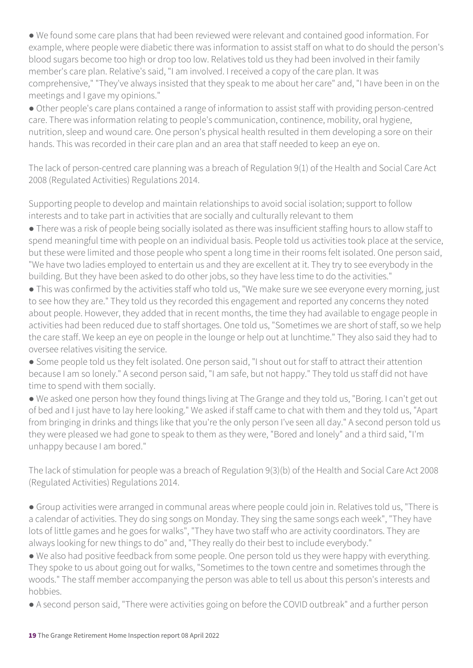● We found some care plans that had been reviewed were relevant and contained good information. For example, where people were diabetic there was information to assist staff on what to do should the person's blood sugars become too high or drop too low. Relatives told us they had been involved in their family member's care plan. Relative's said, "I am involved. I received a copy of the care plan. It was comprehensive," "They've always insisted that they speak to me about her care" and, "I have been in on the meetings and I gave my opinions."

● Other people's care plans contained a range of information to assist staff with providing person-centred care. There was information relating to people's communication, continence, mobility, oral hygiene, nutrition, sleep and wound care. One person's physical health resulted in them developing a sore on their hands. This was recorded in their care plan and an area that staff needed to keep an eye on.

The lack of person-centred care planning was a breach of Regulation 9(1) of the Health and Social Care Act 2008 (Regulated Activities) Regulations 2014.

Supporting people to develop and maintain relationships to avoid social isolation; support to follow interests and to take part in activities that are socially and culturally relevant to them

● There was a risk of people being socially isolated as there was insufficient staffing hours to allow staff to spend meaningful time with people on an individual basis. People told us activities took place at the service, but these were limited and those people who spent a long time in their rooms felt isolated. One person said, "We have two ladies employed to entertain us and they are excellent at it. They try to see everybody in the building. But they have been asked to do other jobs, so they have less time to do the activities."

● This was confirmed by the activities staff who told us, "We make sure we see everyone every morning, just to see how they are." They told us they recorded this engagement and reported any concerns they noted about people. However, they added that in recent months, the time they had available to engage people in activities had been reduced due to staff shortages. One told us, "Sometimes we are short of staff, so we help the care staff. We keep an eye on people in the lounge or help out at lunchtime." They also said they had to oversee relatives visiting the service.

● Some people told us they felt isolated. One person said, "I shout out for staff to attract their attention because I am so lonely." A second person said, "I am safe, but not happy." They told us staff did not have time to spend with them socially.

● We asked one person how they found things living at The Grange and they told us, "Boring. I can't get out of bed and I just have to lay here looking." We asked if staff came to chat with them and they told us, "Apart from bringing in drinks and things like that you're the only person I've seen all day." A second person told us they were pleased we had gone to speak to them as they were, "Bored and lonely" and a third said, "I'm unhappy because I am bored."

The lack of stimulation for people was a breach of Regulation 9(3)(b) of the Health and Social Care Act 2008 (Regulated Activities) Regulations 2014.

● Group activities were arranged in communal areas where people could join in. Relatives told us, "There is a calendar of activities. They do sing songs on Monday. They sing the same songs each week", "They have lots of little games and he goes for walks", "They have two staff who are activity coordinators. They are always looking for new things to do" and, "They really do their best to include everybody."

● We also had positive feedback from some people. One person told us they were happy with everything. They spoke to us about going out for walks, "Sometimes to the town centre and sometimes through the woods." The staff member accompanying the person was able to tell us about this person's interests and hobbies.

● A second person said, "There were activities going on before the COVID outbreak" and a further person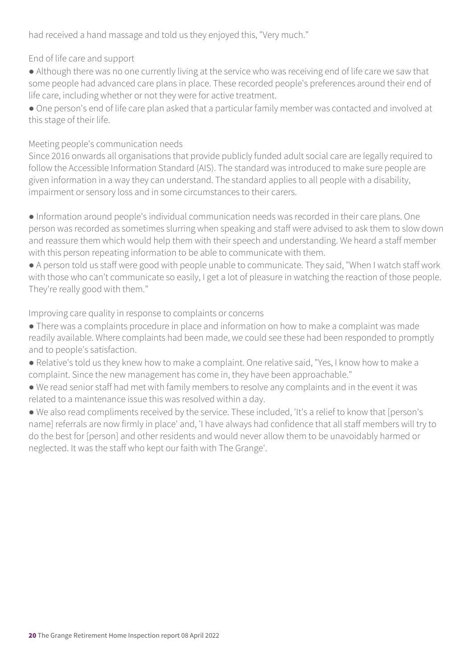had received a hand massage and told us they enjoyed this, "Very much."

End of life care and support

● Although there was no one currently living at the service who was receiving end of life care we saw that some people had advanced care plans in place. These recorded people's preferences around their end of life care, including whether or not they were for active treatment.

● One person's end of life care plan asked that a particular family member was contacted and involved at this stage of their life.

#### Meeting people's communication needs

Since 2016 onwards all organisations that provide publicly funded adult social care are legally required to follow the Accessible Information Standard (AIS). The standard was introduced to make sure people are given information in a way they can understand. The standard applies to all people with a disability, impairment or sensory loss and in some circumstances to their carers.

● Information around people's individual communication needs was recorded in their care plans. One person was recorded as sometimes slurring when speaking and staff were advised to ask them to slow down and reassure them which would help them with their speech and understanding. We heard a staff member with this person repeating information to be able to communicate with them.

● A person told us staff were good with people unable to communicate. They said, "When I watch staff work with those who can't communicate so easily, I get a lot of pleasure in watching the reaction of those people. They're really good with them."

#### Improving care quality in response to complaints or concerns

- There was a complaints procedure in place and information on how to make a complaint was made readily available. Where complaints had been made, we could see these had been responded to promptly and to people's satisfaction.
- Relative's told us they knew how to make a complaint. One relative said, "Yes, I know how to make a complaint. Since the new management has come in, they have been approachable."
- We read senior staff had met with family members to resolve any complaints and in the event it was related to a maintenance issue this was resolved within a day.

● We also read compliments received by the service. These included, 'It's a relief to know that [person's name] referrals are now firmly in place' and, 'I have always had confidence that all staff members will try to do the best for [person] and other residents and would never allow them to be unavoidably harmed or neglected. It was the staff who kept our faith with The Grange'.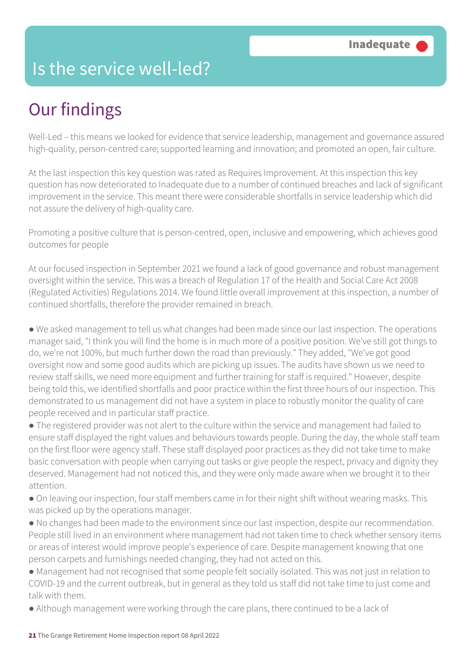### Is the service well-led?

### Our findings

Well-Led – this means we looked for evidence that service leadership, management and governance assured high-quality, person-centred care; supported learning and innovation; and promoted an open, fair culture.

At the last inspection this key question was rated as Requires Improvement. At this inspection this key question has now deteriorated to Inadequate due to a number of continued breaches and lack of significant improvement in the service. This meant there were considerable shortfalls in service leadership which did not assure the delivery of high-quality care.

Promoting a positive culture that is person-centred, open, inclusive and empowering, which achieves good outcomes for people

At our focused inspection in September 2021 we found a lack of good governance and robust management oversight within the service. This was a breach of Regulation 17 of the Health and Social Care Act 2008 (Regulated Activities) Regulations 2014. We found little overall improvement at this inspection, a number of continued shortfalls, therefore the provider remained in breach.

● We asked management to tell us what changes had been made since our last inspection. The operations manager said, "I think you will find the home is in much more of a positive position. We've still got things to do, we're not 100%, but much further down the road than previously." They added, "We've got good oversight now and some good audits which are picking up issues. The audits have shown us we need to review staff skills, we need more equipment and further training for staff is required." However, despite being told this, we identified shortfalls and poor practice within the first three hours of our inspection. This demonstrated to us management did not have a system in place to robustly monitor the quality of care people received and in particular staff practice.

● The registered provider was not alert to the culture within the service and management had failed to ensure staff displayed the right values and behaviours towards people. During the day, the whole staff team on the first floor were agency staff. These staff displayed poor practices as they did not take time to make basic conversation with people when carrying out tasks or give people the respect, privacy and dignity they deserved. Management had not noticed this, and they were only made aware when we brought it to their attention.

• On leaving our inspection, four staff members came in for their night shift without wearing masks. This was picked up by the operations manager.

● No changes had been made to the environment since our last inspection, despite our recommendation. People still lived in an environment where management had not taken time to check whether sensory items or areas of interest would improve people's experience of care. Despite management knowing that one person carpets and furnishings needed changing, they had not acted on this.

● Management had not recognised that some people felt socially isolated. This was not just in relation to COVID-19 and the current outbreak, but in general as they told us staff did not take time to just come and talk with them.

● Although management were working through the care plans, there continued to be a lack of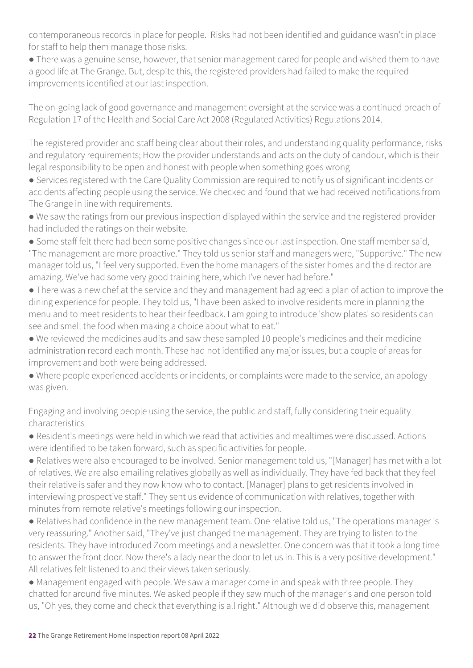contemporaneous records in place for people. Risks had not been identified and guidance wasn't in place for staff to help them manage those risks.

● There was a genuine sense, however, that senior management cared for people and wished them to have a good life at The Grange. But, despite this, the registered providers had failed to make the required improvements identified at our last inspection.

The on-going lack of good governance and management oversight at the service was a continued breach of Regulation 17 of the Health and Social Care Act 2008 (Regulated Activities) Regulations 2014.

The registered provider and staff being clear about their roles, and understanding quality performance, risks and regulatory requirements; How the provider understands and acts on the duty of candour, which is their legal responsibility to be open and honest with people when something goes wrong

- Services registered with the Care Quality Commission are required to notify us of significant incidents or accidents affecting people using the service. We checked and found that we had received notifications from The Grange in line with requirements.
- We saw the ratings from our previous inspection displayed within the service and the registered provider had included the ratings on their website.
- Some staff felt there had been some positive changes since our last inspection. One staff member said, "The management are more proactive." They told us senior staff and managers were, "Supportive." The new manager told us, "I feel very supported. Even the home managers of the sister homes and the director are amazing. We've had some very good training here, which I've never had before."
- There was a new chef at the service and they and management had agreed a plan of action to improve the dining experience for people. They told us, "I have been asked to involve residents more in planning the menu and to meet residents to hear their feedback. I am going to introduce 'show plates' so residents can see and smell the food when making a choice about what to eat."
- We reviewed the medicines audits and saw these sampled 10 people's medicines and their medicine administration record each month. These had not identified any major issues, but a couple of areas for improvement and both were being addressed.
- Where people experienced accidents or incidents, or complaints were made to the service, an apology was given.

Engaging and involving people using the service, the public and staff, fully considering their equality characteristics

- Resident's meetings were held in which we read that activities and mealtimes were discussed. Actions were identified to be taken forward, such as specific activities for people.
- Relatives were also encouraged to be involved. Senior management told us, "[Manager] has met with a lot of relatives. We are also emailing relatives globally as well as individually. They have fed back that they feel their relative is safer and they now know who to contact. [Manager] plans to get residents involved in interviewing prospective staff." They sent us evidence of communication with relatives, together with minutes from remote relative's meetings following our inspection.
- Relatives had confidence in the new management team. One relative told us, "The operations manager is very reassuring." Another said, "They've just changed the management. They are trying to listen to the residents. They have introduced Zoom meetings and a newsletter. One concern was that it took a long time to answer the front door. Now there's a lady near the door to let us in. This is a very positive development." All relatives felt listened to and their views taken seriously.
- Management engaged with people. We saw a manager come in and speak with three people. They chatted for around five minutes. We asked people if they saw much of the manager's and one person told us, "Oh yes, they come and check that everything is all right." Although we did observe this, management